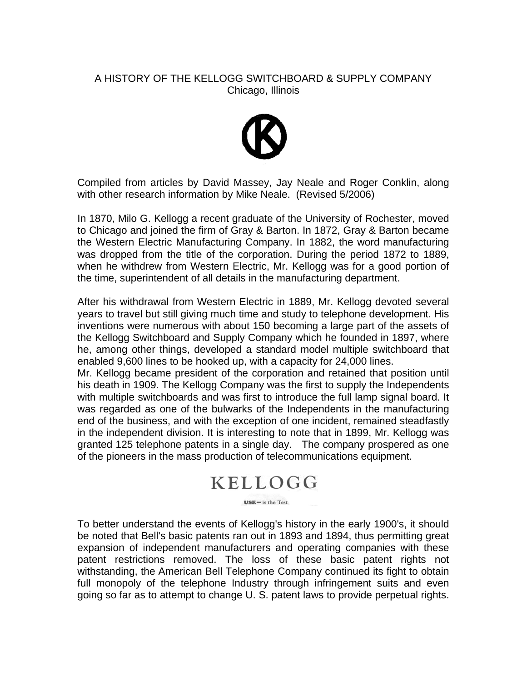## A HISTORY OF THE KELLOGG SWITCHBOARD & SUPPLY COMPANY Chicago, Illinois



Compiled from articles by David Massey, Jay Neale and Roger Conklin, along with other research information by Mike Neale. (Revised 5/2006)

In 1870, Milo G. Kellogg a recent graduate of the University of Rochester, moved to Chicago and joined the firm of Gray & Barton. In 1872, Gray & Barton became the Western Electric Manufacturing Company. In 1882, the word manufacturing was dropped from the title of the corporation. During the period 1872 to 1889, when he withdrew from Western Electric, Mr. Kellogg was for a good portion of the time, superintendent of all details in the manufacturing department.

After his withdrawal from Western Electric in 1889, Mr. Kellogg devoted several years to travel but still giving much time and study to telephone development. His inventions were numerous with about 150 becoming a large part of the assets of the Kellogg Switchboard and Supply Company which he founded in 1897, where he, among other things, developed a standard model multiple switchboard that enabled 9,600 lines to be hooked up, with a capacity for 24,000 lines.

Mr. Kellogg became president of the corporation and retained that position until his death in 1909. The Kellogg Company was the first to supply the Independents with multiple switchboards and was first to introduce the full lamp signal board. It was regarded as one of the bulwarks of the Independents in the manufacturing end of the business, and with the exception of one incident, remained steadfastly in the independent division. It is interesting to note that in 1899, Mr. Kellogg was granted 125 telephone patents in a single day. The company prospered as one of the pioneers in the mass production of telecommunications equipment.

## **KELLOGG**

 $USE - is the Test$ 

To better understand the events of Kellogg's history in the early 1900's, it should be noted that Bell's basic patents ran out in 1893 and 1894, thus permitting great expansion of independent manufacturers and operating companies with these patent restrictions removed. The loss of these basic patent rights not withstanding, the American Bell Telephone Company continued its fight to obtain full monopoly of the telephone Industry through infringement suits and even going so far as to attempt to change U. S. patent laws to provide perpetual rights.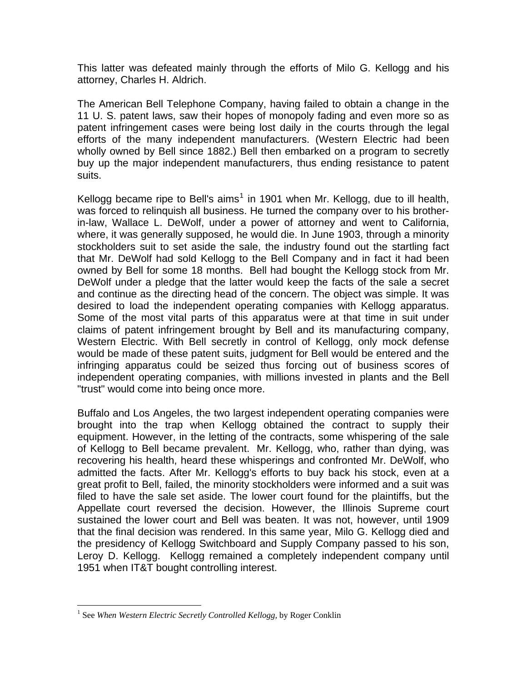This latter was defeated mainly through the efforts of Milo G. Kellogg and his attorney, Charles H. Aldrich.

The American Bell Telephone Company, having failed to obtain a change in the 11 U. S. patent laws, saw their hopes of monopoly fading and even more so as patent infringement cases were being lost daily in the courts through the legal efforts of the many independent manufacturers. (Western Electric had been wholly owned by Bell since 1882.) Bell then embarked on a program to secretly buy up the major independent manufacturers, thus ending resistance to patent suits.

Kellogg became ripe to Bell's aims<sup>[1](#page-1-0)</sup> in 1901 when Mr. Kellogg, due to ill health, was forced to relinquish all business. He turned the company over to his brotherin-law, Wallace L. DeWolf, under a power of attorney and went to California, where, it was generally supposed, he would die. In June 1903, through a minority stockholders suit to set aside the sale, the industry found out the startling fact that Mr. DeWolf had sold Kellogg to the Bell Company and in fact it had been owned by Bell for some 18 months. Bell had bought the Kellogg stock from Mr. DeWolf under a pledge that the latter would keep the facts of the sale a secret and continue as the directing head of the concern. The object was simple. It was desired to load the independent operating companies with Kellogg apparatus. Some of the most vital parts of this apparatus were at that time in suit under claims of patent infringement brought by Bell and its manufacturing company, Western Electric. With Bell secretly in control of Kellogg, only mock defense would be made of these patent suits, judgment for Bell would be entered and the infringing apparatus could be seized thus forcing out of business scores of independent operating companies, with millions invested in plants and the Bell "trust" would come into being once more.

Buffalo and Los Angeles, the two largest independent operating companies were brought into the trap when Kellogg obtained the contract to supply their equipment. However, in the letting of the contracts, some whispering of the sale of Kellogg to Bell became prevalent. Mr. Kellogg, who, rather than dying, was recovering his health, heard these whisperings and confronted Mr. DeWolf, who admitted the facts. After Mr. Kellogg's efforts to buy back his stock, even at a great profit to Bell, failed, the minority stockholders were informed and a suit was filed to have the sale set aside. The lower court found for the plaintiffs, but the Appellate court reversed the decision. However, the Illinois Supreme court sustained the lower court and Bell was beaten. It was not, however, until 1909 that the final decision was rendered. In this same year, Milo G. Kellogg died and the presidency of Kellogg Switchboard and Supply Company passed to his son, Leroy D. Kellogg. Kellogg remained a completely independent company until 1951 when IT&T bought controlling interest.

 $\overline{a}$ 

<span id="page-1-0"></span><sup>&</sup>lt;sup>1</sup> See When Western Electric Secretly Controlled Kellogg, by Roger Conklin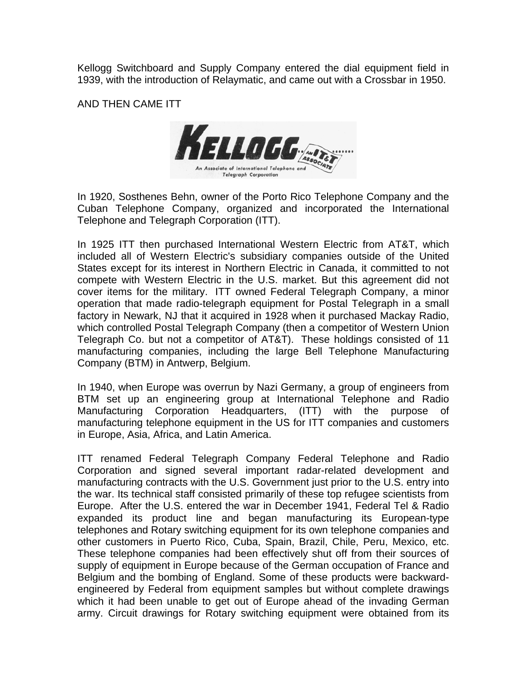Kellogg Switchboard and Supply Company entered the dial equipment field in 1939, with the introduction of Relaymatic, and came out with a Crossbar in 1950.

AND THEN CAME ITT



In 1920, Sosthenes Behn, owner of the Porto Rico Telephone Company and the Cuban Telephone Company, organized and incorporated the International Telephone and Telegraph Corporation (ITT).

In 1925 ITT then purchased International Western Electric from AT&T, which included all of Western Electric's subsidiary companies outside of the United States except for its interest in Northern Electric in Canada, it committed to not compete with Western Electric in the U.S. market. But this agreement did not cover items for the military. ITT owned Federal Telegraph Company, a minor operation that made radio-telegraph equipment for Postal Telegraph in a small factory in Newark, NJ that it acquired in 1928 when it purchased Mackay Radio, which controlled Postal Telegraph Company (then a competitor of Western Union Telegraph Co. but not a competitor of AT&T). These holdings consisted of 11 manufacturing companies, including the large Bell Telephone Manufacturing Company (BTM) in Antwerp, Belgium.

In 1940, when Europe was overrun by Nazi Germany, a group of engineers from BTM set up an engineering group at International Telephone and Radio Manufacturing Corporation Headquarters, (ITT) with the purpose of manufacturing telephone equipment in the US for ITT companies and customers in Europe, Asia, Africa, and Latin America.

ITT renamed Federal Telegraph Company Federal Telephone and Radio Corporation and signed several important radar-related development and manufacturing contracts with the U.S. Government just prior to the U.S. entry into the war. Its technical staff consisted primarily of these top refugee scientists from Europe. After the U.S. entered the war in December 1941, Federal Tel & Radio expanded its product line and began manufacturing its European-type telephones and Rotary switching equipment for its own telephone companies and other customers in Puerto Rico, Cuba, Spain, Brazil, Chile, Peru, Mexico, etc. These telephone companies had been effectively shut off from their sources of supply of equipment in Europe because of the German occupation of France and Belgium and the bombing of England. Some of these products were backwardengineered by Federal from equipment samples but without complete drawings which it had been unable to get out of Europe ahead of the invading German army. Circuit drawings for Rotary switching equipment were obtained from its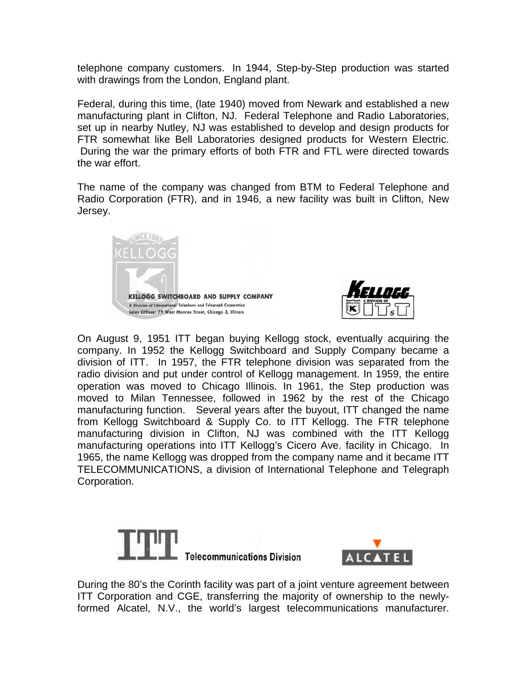telephone company customers. In 1944, Step-by-Step production was started with drawings from the London, England plant.

Federal, during this time, (late 1940) moved from Newark and established a new manufacturing plant in Clifton, NJ. Federal Telephone and Radio Laboratories, set up in nearby Nutley, NJ was established to develop and design products for FTR somewhat like Bell Laboratories designed products for Western Electric. During the war the primary efforts of both FTR and FTL were directed towards the war effort.

The name of the company was changed from BTM to Federal Telephone and Radio Corporation (FTR), and in 1946, a new facility was built in Clifton, New Jersey.





On August 9, 1951 ITT began buying Kellogg stock, eventually acquiring the company. In 1952 the Kellogg Switchboard and Supply Company became a division of ITT. In 1957, the FTR telephone division was separated from the radio division and put under control of Kellogg management. In 1959, the entire operation was moved to Chicago Illinois. In 1961, the Step production was moved to Milan Tennessee, followed in 1962 by the rest of the Chicago manufacturing function. Several years after the buyout, ITT changed the name from Kellogg Switchboard & Supply Co. to ITT Kellogg. The FTR telephone manufacturing division in Clifton, NJ was combined with the ITT Kellogg manufacturing operations into ITT Kellogg's Cicero Ave. facility in Chicago. In 1965, the name Kellogg was dropped from the company name and it became ITT TELECOMMUNICATIONS, a division of International Telephone and Telegraph Corporation.





During the 80's the Corinth facility was part of a joint venture agreement between ITT Corporation and CGE, transferring the majority of ownership to the newlyformed Alcatel, N.V., the world's largest telecommunications manufacturer.